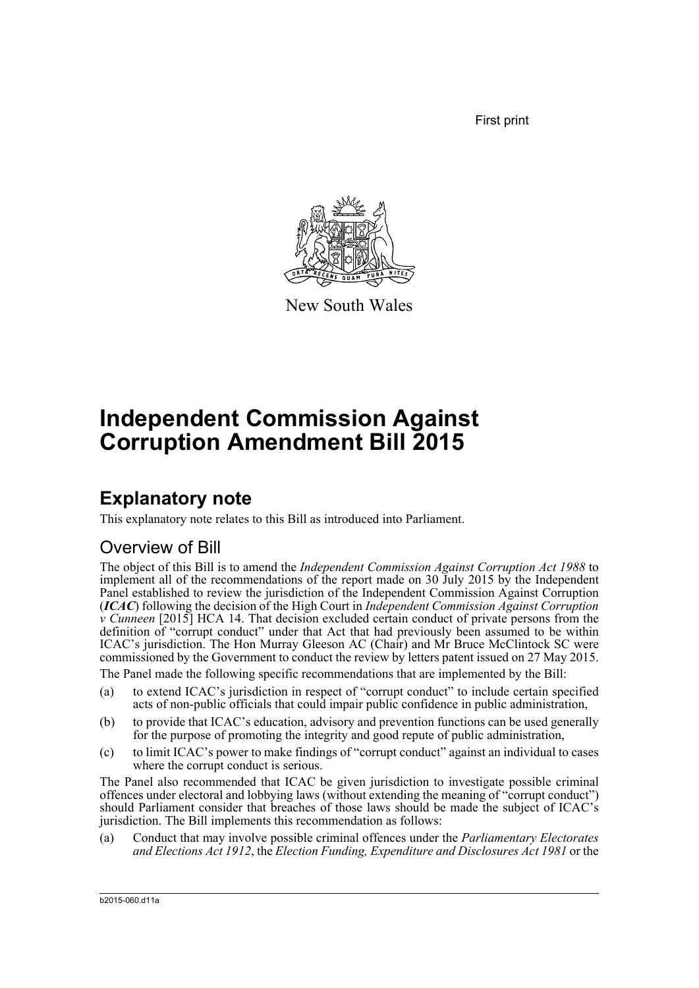First print



New South Wales

# **Independent Commission Against Corruption Amendment Bill 2015**

## **Explanatory note**

This explanatory note relates to this Bill as introduced into Parliament.

## Overview of Bill

The object of this Bill is to amend the *Independent Commission Against Corruption Act 1988* to implement all of the recommendations of the report made on 30 July 2015 by the Independent Panel established to review the jurisdiction of the Independent Commission Against Corruption (*ICAC*) following the decision of the High Court in *Independent Commission Against Corruption v Cunneen* [2015] HCA 14. That decision excluded certain conduct of private persons from the definition of "corrupt conduct" under that Act that had previously been assumed to be within ICAC's jurisdiction. The Hon Murray Gleeson AC (Chair) and Mr Bruce McClintock SC were commissioned by the Government to conduct the review by letters patent issued on 27 May 2015.

The Panel made the following specific recommendations that are implemented by the Bill:

- (a) to extend ICAC's jurisdiction in respect of "corrupt conduct" to include certain specified acts of non-public officials that could impair public confidence in public administration,
- (b) to provide that ICAC's education, advisory and prevention functions can be used generally for the purpose of promoting the integrity and good repute of public administration,
- (c) to limit ICAC's power to make findings of "corrupt conduct" against an individual to cases where the corrupt conduct is serious.

The Panel also recommended that ICAC be given jurisdiction to investigate possible criminal offences under electoral and lobbying laws (without extending the meaning of "corrupt conduct") should Parliament consider that breaches of those laws should be made the subject of ICAC's jurisdiction. The Bill implements this recommendation as follows:

(a) Conduct that may involve possible criminal offences under the *Parliamentary Electorates and Elections Act 1912*, the *Election Funding, Expenditure and Disclosures Act 1981* or the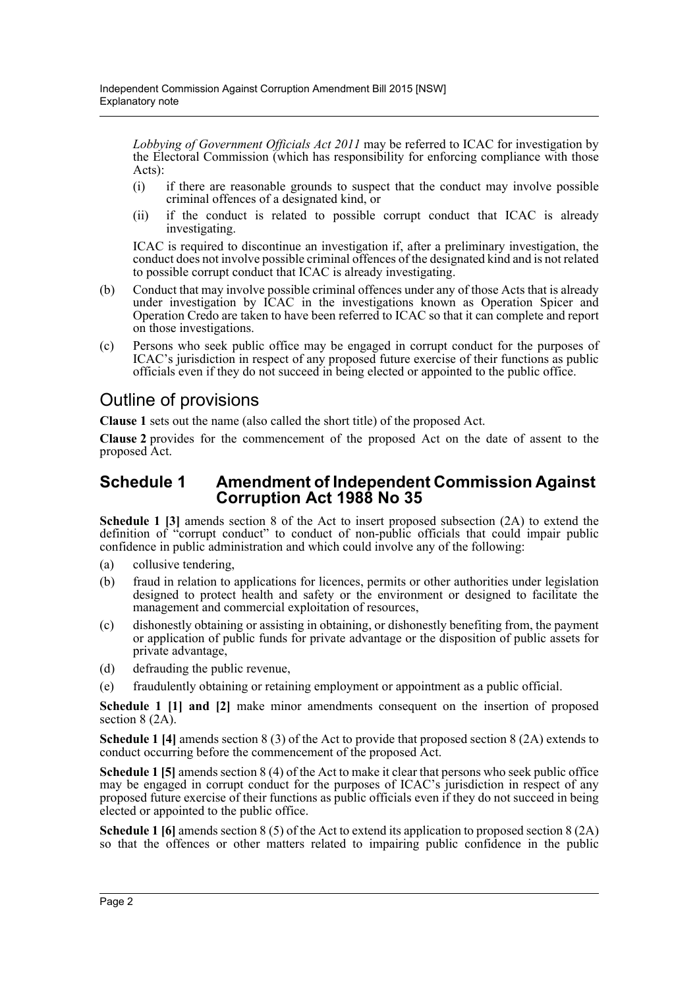*Lobbying of Government Officials Act 2011* may be referred to ICAC for investigation by the Electoral Commission (which has responsibility for enforcing compliance with those Acts):

- (i) if there are reasonable grounds to suspect that the conduct may involve possible criminal offences of a designated kind, or
- (ii) if the conduct is related to possible corrupt conduct that ICAC is already investigating.

ICAC is required to discontinue an investigation if, after a preliminary investigation, the conduct does not involve possible criminal offences of the designated kind and is not related to possible corrupt conduct that ICAC is already investigating.

- (b) Conduct that may involve possible criminal offences under any of those Acts that is already under investigation by ICAC in the investigations known as Operation Spicer and Operation Credo are taken to have been referred to ICAC so that it can complete and report on those investigations.
- (c) Persons who seek public office may be engaged in corrupt conduct for the purposes of ICAC's jurisdiction in respect of any proposed future exercise of their functions as public officials even if they do not succeed in being elected or appointed to the public office.

## Outline of provisions

**Clause 1** sets out the name (also called the short title) of the proposed Act.

**Clause 2** provides for the commencement of the proposed Act on the date of assent to the proposed Act.

## **Schedule 1 Amendment of Independent Commission Against Corruption Act 1988 No 35**

**Schedule 1 [3]** amends section 8 of the Act to insert proposed subsection (2A) to extend the definition of "corrupt conduct" to conduct of non-public officials that could impair public confidence in public administration and which could involve any of the following:

- (a) collusive tendering,
- (b) fraud in relation to applications for licences, permits or other authorities under legislation designed to protect health and safety or the environment or designed to facilitate the management and commercial exploitation of resources,
- (c) dishonestly obtaining or assisting in obtaining, or dishonestly benefiting from, the payment or application of public funds for private advantage or the disposition of public assets for private advantage,
- (d) defrauding the public revenue,
- (e) fraudulently obtaining or retaining employment or appointment as a public official.

**Schedule 1 [1] and [2]** make minor amendments consequent on the insertion of proposed section 8 (2A).

**Schedule 1 [4]** amends section 8 (3) of the Act to provide that proposed section 8 (2A) extends to conduct occurring before the commencement of the proposed Act.

**Schedule 1 [5]** amends section 8 (4) of the Act to make it clear that persons who seek public office may be engaged in corrupt conduct for the purposes of ICAC's jurisdiction in respect of any proposed future exercise of their functions as public officials even if they do not succeed in being elected or appointed to the public office.

**Schedule 1 [6]** amends section 8 (5) of the Act to extend its application to proposed section 8 (2A) so that the offences or other matters related to impairing public confidence in the public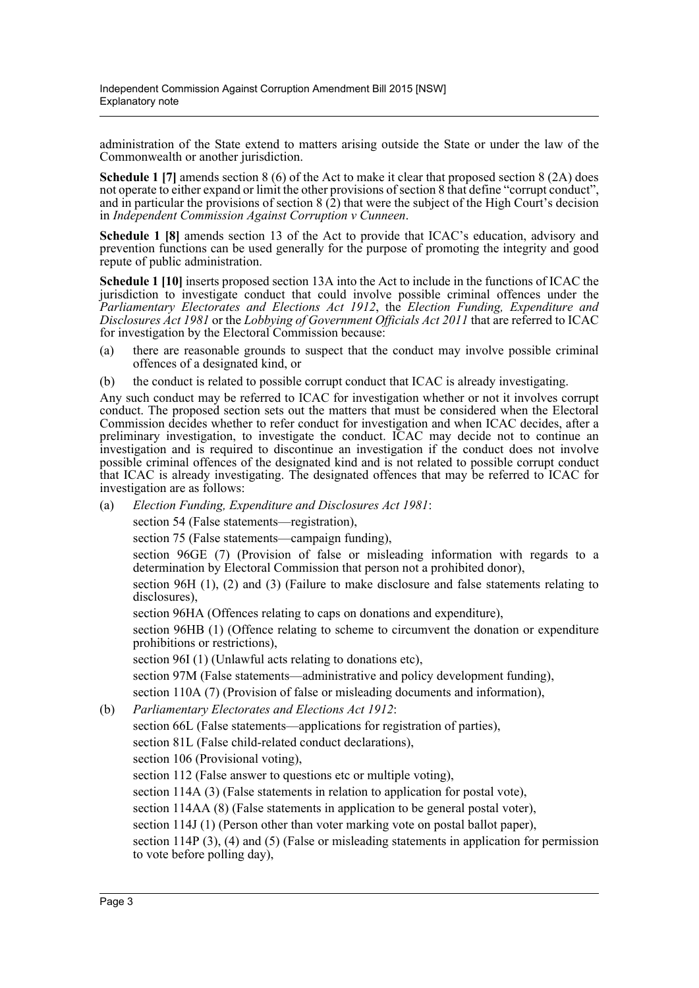administration of the State extend to matters arising outside the State or under the law of the Commonwealth or another jurisdiction.

**Schedule 1** [7] amends section 8 (6) of the Act to make it clear that proposed section 8 (2A) does not operate to either expand or limit the other provisions of section 8 that define "corrupt conduct" and in particular the provisions of section  $8(2)$  that were the subject of the High Court's decision in *Independent Commission Against Corruption v Cunneen*.

**Schedule 1 [8]** amends section 13 of the Act to provide that ICAC's education, advisory and prevention functions can be used generally for the purpose of promoting the integrity and good repute of public administration.

**Schedule 1 [10]** inserts proposed section 13A into the Act to include in the functions of ICAC the jurisdiction to investigate conduct that could involve possible criminal offences under the *Parliamentary Electorates and Elections Act 1912*, the *Election Funding, Expenditure and Disclosures Act 1981* or the *Lobbying of Government Officials Act 2011* that are referred to ICAC for investigation by the Electoral Commission because:

- (a) there are reasonable grounds to suspect that the conduct may involve possible criminal offences of a designated kind, or
- (b) the conduct is related to possible corrupt conduct that ICAC is already investigating.

Any such conduct may be referred to ICAC for investigation whether or not it involves corrupt conduct. The proposed section sets out the matters that must be considered when the Electoral Commission decides whether to refer conduct for investigation and when ICAC decides, after a preliminary investigation, to investigate the conduct. ICAC may decide not to continue an investigation and is required to discontinue an investigation if the conduct does not involve possible criminal offences of the designated kind and is not related to possible corrupt conduct that ICAC is already investigating. The designated offences that may be referred to ICAC for investigation are as follows:

(a) *Election Funding, Expenditure and Disclosures Act 1981*:

section 54 (False statements—registration),

section 75 (False statements—campaign funding),

section 96GE (7) (Provision of false or misleading information with regards to a determination by Electoral Commission that person not a prohibited donor),

section 96H (1), (2) and (3) (Failure to make disclosure and false statements relating to disclosures),

section 96HA (Offences relating to caps on donations and expenditure),

section 96HB (1) (Offence relating to scheme to circumvent the donation or expenditure prohibitions or restrictions),

section 96I (1) (Unlawful acts relating to donations etc),

section 97M (False statements—administrative and policy development funding),

section 110A (7) (Provision of false or misleading documents and information),

(b) *Parliamentary Electorates and Elections Act 1912*:

section 66L (False statements—applications for registration of parties),

section 81L (False child-related conduct declarations),

section 106 (Provisional voting),

section 112 (False answer to questions etc or multiple voting),

section 114A (3) (False statements in relation to application for postal vote),

section 114AA (8) (False statements in application to be general postal voter),

section 114J (1) (Person other than voter marking vote on postal ballot paper),

section 114P (3), (4) and (5) (False or misleading statements in application for permission to vote before polling day),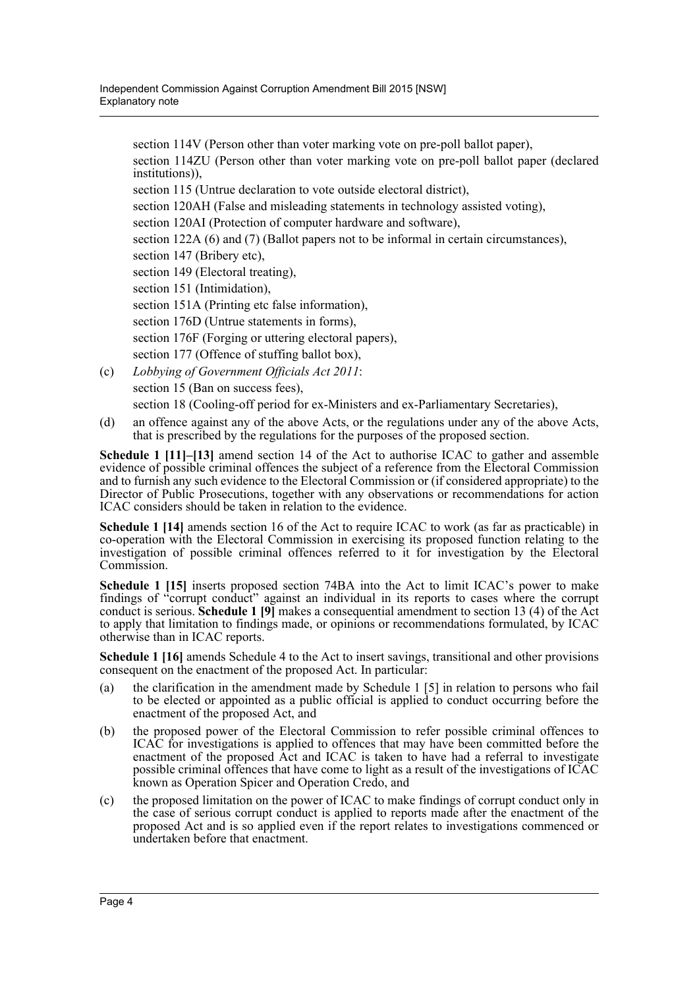section 114V (Person other than voter marking vote on pre-poll ballot paper), section 114ZU (Person other than voter marking vote on pre-poll ballot paper (declared institutions)), section 115 (Untrue declaration to vote outside electoral district), section 120AH (False and misleading statements in technology assisted voting), section 120AI (Protection of computer hardware and software), section 122A (6) and (7) (Ballot papers not to be informal in certain circumstances), section 147 (Bribery etc), section 149 (Electoral treating), section 151 (Intimidation), section 151A (Printing etc false information). section 176D (Untrue statements in forms), section 176F (Forging or uttering electoral papers), section 177 (Offence of stuffing ballot box), (c) *Lobbying of Government Officials Act 2011*:

- section 15 (Ban on success fees), section 18 (Cooling-off period for ex-Ministers and ex-Parliamentary Secretaries),
- (d) an offence against any of the above Acts, or the regulations under any of the above Acts, that is prescribed by the regulations for the purposes of the proposed section.

**Schedule 1 [11]–[13]** amend section 14 of the Act to authorise ICAC to gather and assemble evidence of possible criminal offences the subject of a reference from the Electoral Commission and to furnish any such evidence to the Electoral Commission or (if considered appropriate) to the Director of Public Prosecutions, together with any observations or recommendations for action ICAC considers should be taken in relation to the evidence.

**Schedule 1 [14]** amends section 16 of the Act to require ICAC to work (as far as practicable) in co-operation with the Electoral Commission in exercising its proposed function relating to the investigation of possible criminal offences referred to it for investigation by the Electoral Commission.

**Schedule 1 [15]** inserts proposed section 74BA into the Act to limit ICAC's power to make findings of "corrupt conduct" against an individual in its reports to cases where the corrupt conduct is serious. **Schedule 1 [9]** makes a consequential amendment to section 13 (4) of the Act to apply that limitation to findings made, or opinions or recommendations formulated, by ICAC otherwise than in ICAC reports.

**Schedule 1 [16]** amends Schedule 4 to the Act to insert savings, transitional and other provisions consequent on the enactment of the proposed Act. In particular:

- (a) the clarification in the amendment made by Schedule 1 [5] in relation to persons who fail to be elected or appointed as a public official is applied to conduct occurring before the enactment of the proposed Act, and
- (b) the proposed power of the Electoral Commission to refer possible criminal offences to ICAC for investigations is applied to offences that may have been committed before the enactment of the proposed Act and ICAC is taken to have had a referral to investigate possible criminal offences that have come to light as a result of the investigations of ICAC known as Operation Spicer and Operation Credo, and
- (c) the proposed limitation on the power of ICAC to make findings of corrupt conduct only in the case of serious corrupt conduct is applied to reports made after the enactment of the proposed Act and is so applied even if the report relates to investigations commenced or undertaken before that enactment.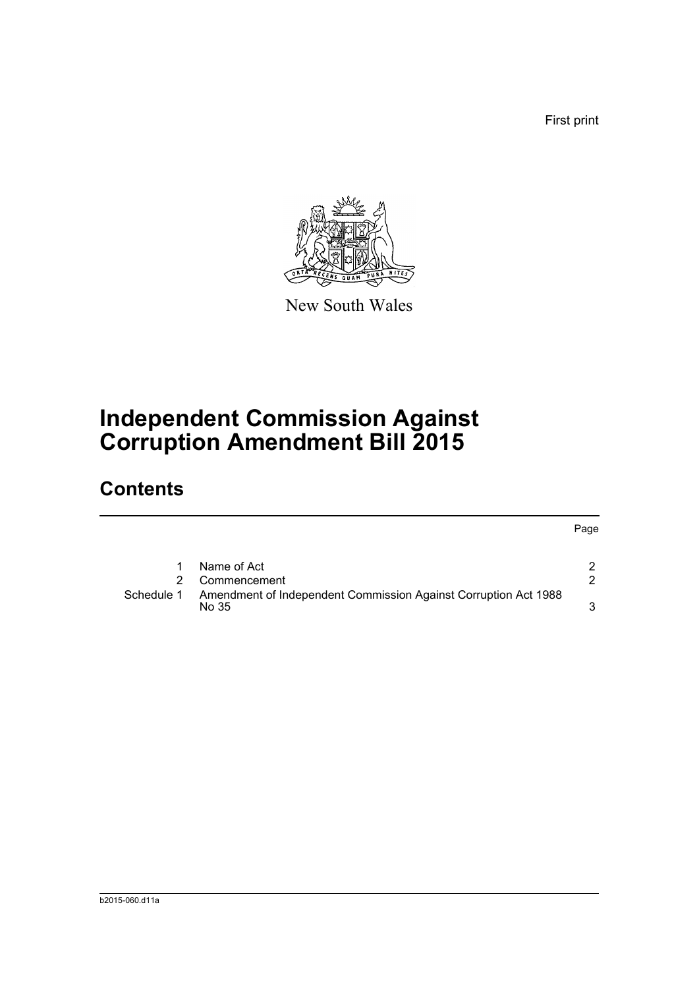First print



New South Wales

# **Independent Commission Against Corruption Amendment Bill 2015**

## **Contents**

Page

|            | Name of Act                                                              |  |
|------------|--------------------------------------------------------------------------|--|
|            | 2 Commencement                                                           |  |
| Schedule 1 | Amendment of Independent Commission Against Corruption Act 1988<br>No 35 |  |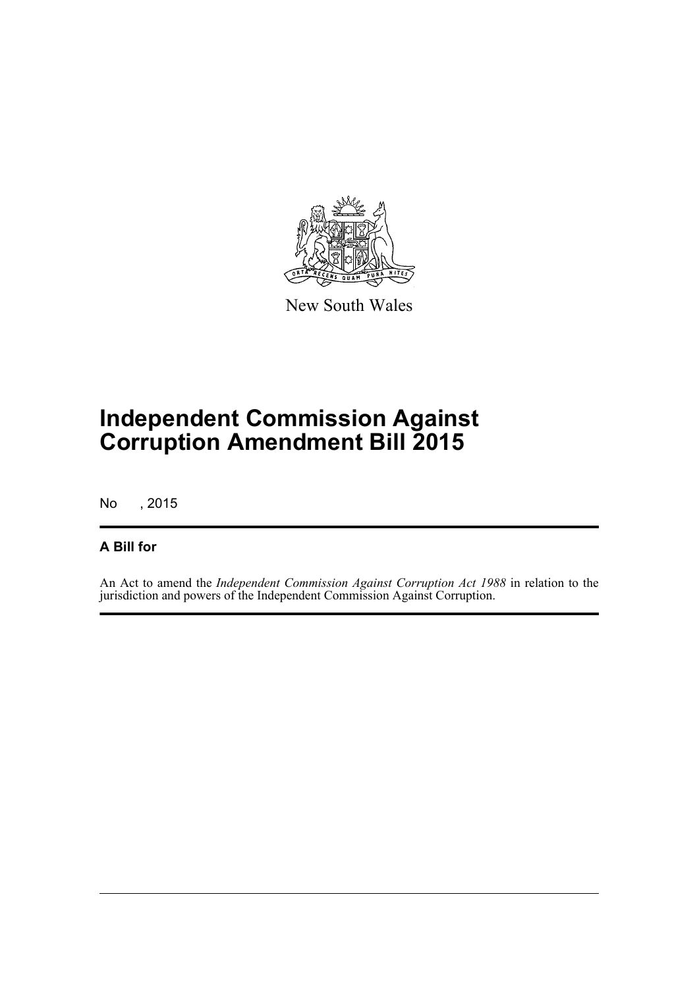

New South Wales

# **Independent Commission Against Corruption Amendment Bill 2015**

No , 2015

## **A Bill for**

An Act to amend the *Independent Commission Against Corruption Act 1988* in relation to the jurisdiction and powers of the Independent Commission Against Corruption.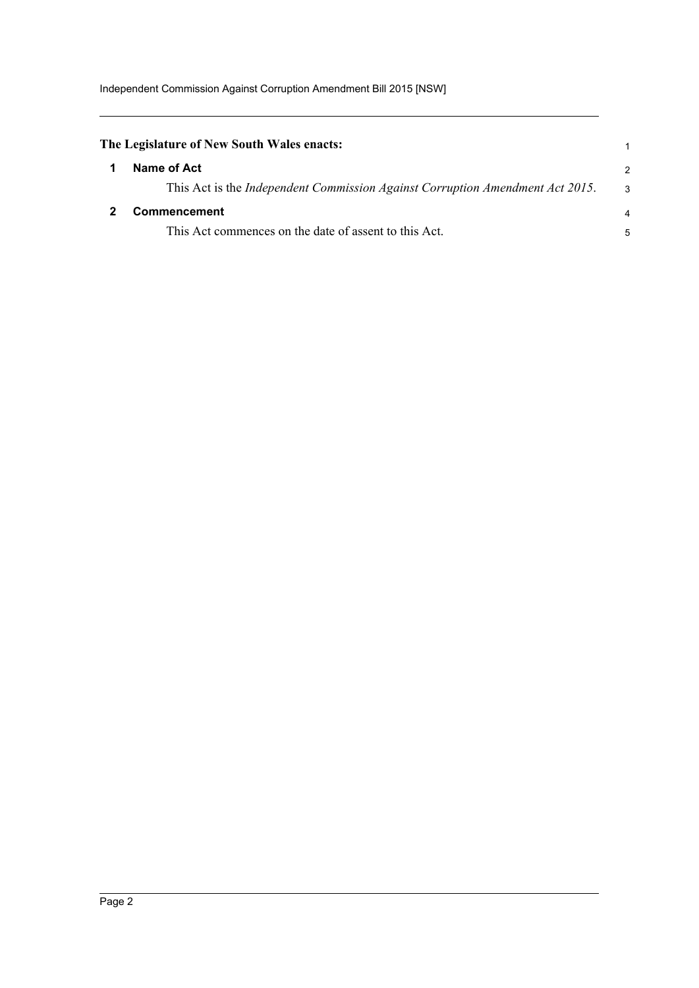<span id="page-6-1"></span><span id="page-6-0"></span>

| The Legislature of New South Wales enacts:                                    |                |
|-------------------------------------------------------------------------------|----------------|
| Name of Act                                                                   | $\overline{2}$ |
| This Act is the Independent Commission Against Corruption Amendment Act 2015. | 3              |
| <b>Commencement</b>                                                           | 4              |
| This Act commences on the date of assent to this Act.                         | 5              |
|                                                                               |                |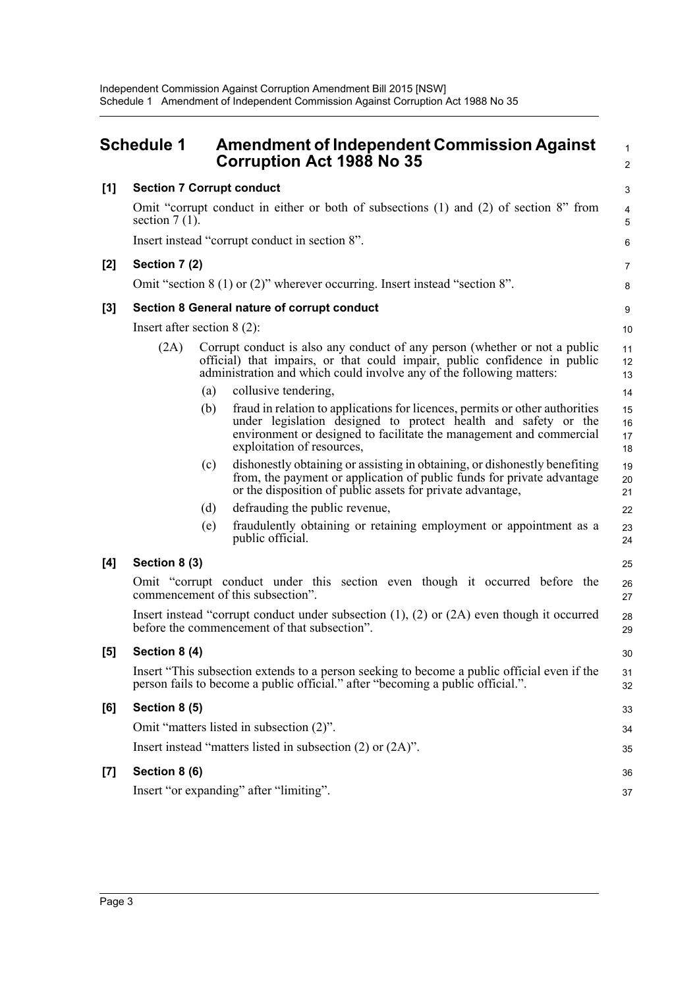<span id="page-7-0"></span>

|       | <b>Schedule 1</b>                                                                                                                                                              |     | <b>Amendment of Independent Commission Against</b><br><b>Corruption Act 1988 No 35</b>                                                                                                                                                              | $\mathbf{1}$<br>$\overline{2}$ |  |
|-------|--------------------------------------------------------------------------------------------------------------------------------------------------------------------------------|-----|-----------------------------------------------------------------------------------------------------------------------------------------------------------------------------------------------------------------------------------------------------|--------------------------------|--|
| [1]   | <b>Section 7 Corrupt conduct</b>                                                                                                                                               |     |                                                                                                                                                                                                                                                     |                                |  |
|       | section $7(1)$ .                                                                                                                                                               |     | Omit "corrupt conduct in either or both of subsections (1) and (2) of section 8" from                                                                                                                                                               | 4<br>5                         |  |
|       | Insert instead "corrupt conduct in section 8".                                                                                                                                 |     |                                                                                                                                                                                                                                                     |                                |  |
| $[2]$ | Section 7 (2)                                                                                                                                                                  |     |                                                                                                                                                                                                                                                     |                                |  |
|       | Omit "section $8(1)$ or $(2)$ " wherever occurring. Insert instead "section $8$ ".                                                                                             |     |                                                                                                                                                                                                                                                     |                                |  |
| $[3]$ |                                                                                                                                                                                |     | Section 8 General nature of corrupt conduct                                                                                                                                                                                                         | 9                              |  |
|       | Insert after section $8(2)$ :                                                                                                                                                  |     |                                                                                                                                                                                                                                                     |                                |  |
|       | (2A)                                                                                                                                                                           |     | Corrupt conduct is also any conduct of any person (whether or not a public<br>official) that impairs, or that could impair, public confidence in public<br>administration and which could involve any of the following matters:                     | 11<br>12<br>13                 |  |
|       |                                                                                                                                                                                | (a) | collusive tendering,                                                                                                                                                                                                                                | 14                             |  |
|       |                                                                                                                                                                                | (b) | fraud in relation to applications for licences, permits or other authorities<br>under legislation designed to protect health and safety or the<br>environment or designed to facilitate the management and commercial<br>exploitation of resources, | 15<br>16<br>17<br>18           |  |
|       |                                                                                                                                                                                | (c) | dishonestly obtaining or assisting in obtaining, or dishonestly benefiting<br>from, the payment or application of public funds for private advantage<br>or the disposition of public assets for private advantage,                                  | 19<br>20<br>21                 |  |
|       |                                                                                                                                                                                | (d) | defrauding the public revenue,                                                                                                                                                                                                                      | 22                             |  |
|       |                                                                                                                                                                                | (e) | fraudulently obtaining or retaining employment or appointment as a<br>public official.                                                                                                                                                              | 23<br>24                       |  |
| [4]   | Section 8 (3)                                                                                                                                                                  |     |                                                                                                                                                                                                                                                     | 25                             |  |
|       | Omit "corrupt conduct under this section even though it occurred before the<br>commencement of this subsection".                                                               |     |                                                                                                                                                                                                                                                     |                                |  |
|       | Insert instead "corrupt conduct under subsection $(1)$ , $(2)$ or $(2A)$ even though it occurred<br>before the commencement of that subsection".                               |     |                                                                                                                                                                                                                                                     |                                |  |
| [5]   | Section 8 (4)                                                                                                                                                                  |     |                                                                                                                                                                                                                                                     |                                |  |
|       | Insert "This subsection extends to a person seeking to become a public official even if the<br>person fails to become a public official." after "becoming a public official.". |     |                                                                                                                                                                                                                                                     |                                |  |
| [6]   | Section 8 (5)                                                                                                                                                                  |     |                                                                                                                                                                                                                                                     |                                |  |
|       | Omit "matters listed in subsection (2)".                                                                                                                                       |     |                                                                                                                                                                                                                                                     |                                |  |
|       | Insert instead "matters listed in subsection $(2)$ or $(2A)$ ".                                                                                                                |     |                                                                                                                                                                                                                                                     |                                |  |
| $[7]$ | Section 8 (6)                                                                                                                                                                  |     |                                                                                                                                                                                                                                                     |                                |  |
|       | Insert "or expanding" after "limiting".                                                                                                                                        |     |                                                                                                                                                                                                                                                     |                                |  |
|       |                                                                                                                                                                                |     |                                                                                                                                                                                                                                                     |                                |  |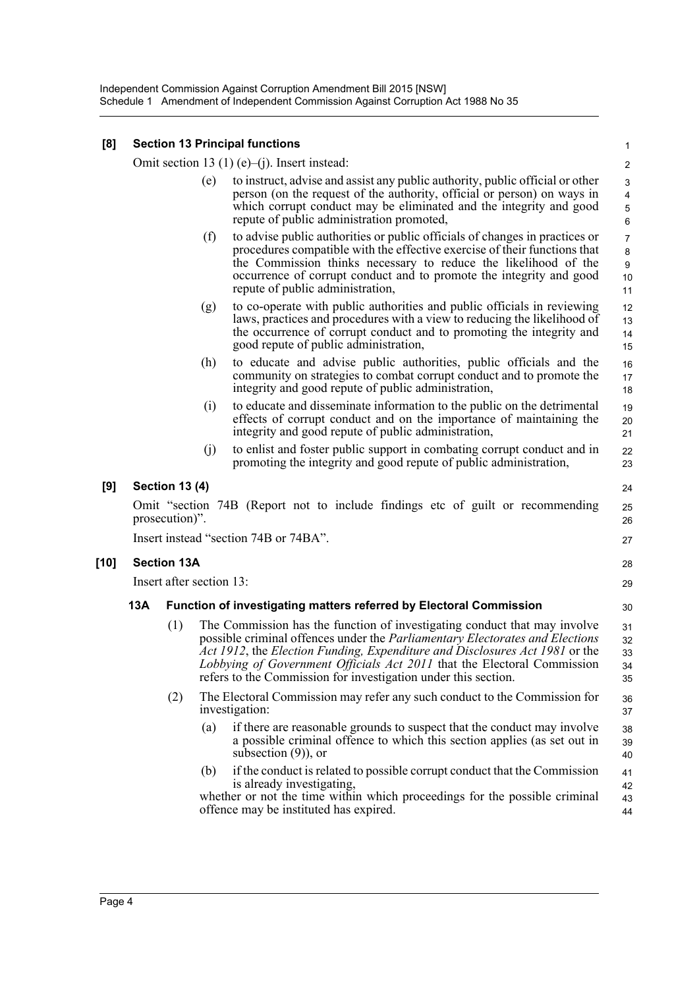### **[8] Section 13 Principal functions**

Omit section 13 (1) (e)–(j). Insert instead:

(e) to instruct, advise and assist any public authority, public official or other person (on the request of the authority, official or person) on ways in which corrupt conduct may be eliminated and the integrity and good repute of public administration promoted,

30

43 44

- (f) to advise public authorities or public officials of changes in practices or procedures compatible with the effective exercise of their functions that the Commission thinks necessary to reduce the likelihood of the occurrence of corrupt conduct and to promote the integrity and good repute of public administration,
- (g) to co-operate with public authorities and public officials in reviewing laws, practices and procedures with a view to reducing the likelihood of the occurrence of corrupt conduct and to promoting the integrity and good repute of public administration,
- (h) to educate and advise public authorities, public officials and the community on strategies to combat corrupt conduct and to promote the integrity and good repute of public administration,
- (i) to educate and disseminate information to the public on the detrimental effects of corrupt conduct and on the importance of maintaining the integrity and good repute of public administration,
- (j) to enlist and foster public support in combating corrupt conduct and in promoting the integrity and good repute of public administration,

### **[9] Section 13 (4)**

Omit "section 74B (Report not to include findings etc of guilt or recommending prosecution)". Insert instead "section 74B or 74BA".

#### **[10] Section 13A**

Insert after section 13:

### **13A Function of investigating matters referred by Electoral Commission**

- (1) The Commission has the function of investigating conduct that may involve possible criminal offences under the *Parliamentary Electorates and Elections Act 1912*, the *Election Funding, Expenditure and Disclosures Act 1981* or the *Lobbying of Government Officials Act 2011* that the Electoral Commission refers to the Commission for investigation under this section. 31 32 33 34 35
- (2) The Electoral Commission may refer any such conduct to the Commission for investigation: 36 37
	- (a) if there are reasonable grounds to suspect that the conduct may involve a possible criminal offence to which this section applies (as set out in subsection (9)), or 38 39  $40$
	- (b) if the conduct is related to possible corrupt conduct that the Commission is already investigating, 41 42

whether or not the time within which proceedings for the possible criminal offence may be instituted has expired.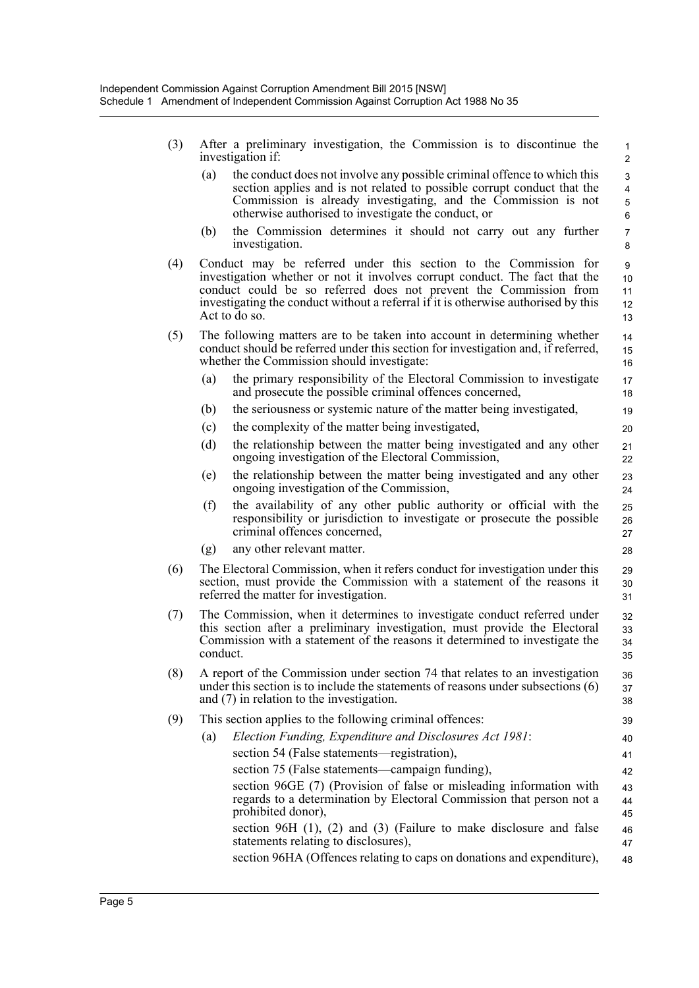- (3) After a preliminary investigation, the Commission is to discontinue the investigation if:
	- (a) the conduct does not involve any possible criminal offence to which this section applies and is not related to possible corrupt conduct that the Commission is already investigating, and the Commission is not otherwise authorised to investigate the conduct, or

- (b) the Commission determines it should not carry out any further investigation.
- (4) Conduct may be referred under this section to the Commission for investigation whether or not it involves corrupt conduct. The fact that the conduct could be so referred does not prevent the Commission from investigating the conduct without a referral if it is otherwise authorised by this Act to do so.
- (5) The following matters are to be taken into account in determining whether conduct should be referred under this section for investigation and, if referred, whether the Commission should investigate:
	- (a) the primary responsibility of the Electoral Commission to investigate and prosecute the possible criminal offences concerned,
	- (b) the seriousness or systemic nature of the matter being investigated,
	- (c) the complexity of the matter being investigated,
	- (d) the relationship between the matter being investigated and any other ongoing investigation of the Electoral Commission,
	- (e) the relationship between the matter being investigated and any other ongoing investigation of the Commission,
	- (f) the availability of any other public authority or official with the responsibility or jurisdiction to investigate or prosecute the possible criminal offences concerned,
	- (g) any other relevant matter.
- (6) The Electoral Commission, when it refers conduct for investigation under this section, must provide the Commission with a statement of the reasons it referred the matter for investigation.
- (7) The Commission, when it determines to investigate conduct referred under this section after a preliminary investigation, must provide the Electoral Commission with a statement of the reasons it determined to investigate the conduct. 32 33 34 35
- (8) A report of the Commission under section 74 that relates to an investigation under this section is to include the statements of reasons under subsections (6) and (7) in relation to the investigation.
- (9) This section applies to the following criminal offences:
- (a) *Election Funding, Expenditure and Disclosures Act 1981*: section 54 (False statements—registration), section 75 (False statements—campaign funding), section 96GE (7) (Provision of false or misleading information with regards to a determination by Electoral Commission that person not a prohibited donor), section 96H (1), (2) and (3) (Failure to make disclosure and false statements relating to disclosures), section 96HA (Offences relating to caps on donations and expenditure), 40 41 42 43 44 45 46 47 48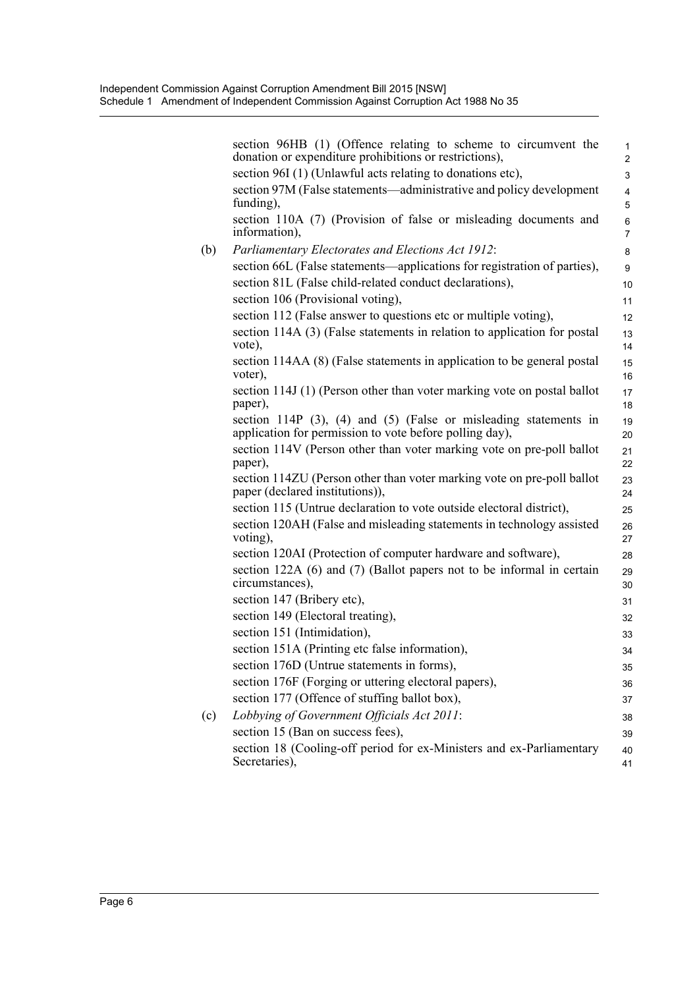|     | section 96HB (1) (Offence relating to scheme to circumvent the<br>donation or expenditure prohibitions or restrictions),<br>section 96I (1) (Unlawful acts relating to donations etc), | $\mathbf{1}$<br>$\overline{2}$<br>3 |
|-----|----------------------------------------------------------------------------------------------------------------------------------------------------------------------------------------|-------------------------------------|
|     | section 97M (False statements—administrative and policy development<br>funding),                                                                                                       | 4<br>5                              |
|     | section 110A (7) (Provision of false or misleading documents and<br>information),                                                                                                      | 6<br>$\overline{7}$                 |
| (b) | Parliamentary Electorates and Elections Act 1912:                                                                                                                                      | 8                                   |
|     | section 66L (False statements—applications for registration of parties),                                                                                                               | 9                                   |
|     | section 81L (False child-related conduct declarations),                                                                                                                                | 10                                  |
|     | section 106 (Provisional voting),                                                                                                                                                      | 11                                  |
|     | section 112 (False answer to questions etc or multiple voting),                                                                                                                        | 12                                  |
|     | section 114A (3) (False statements in relation to application for postal<br>vote),                                                                                                     | 13<br>14                            |
|     | section 114AA (8) (False statements in application to be general postal<br>voter),                                                                                                     | 15<br>16                            |
|     | section 114J (1) (Person other than voter marking vote on postal ballot<br>paper),                                                                                                     | 17<br>18                            |
|     | section 114P $(3)$ , $(4)$ and $(5)$ (False or misleading statements in<br>application for permission to vote before polling day),                                                     | 19<br>20                            |
|     | section 114V (Person other than voter marking vote on pre-poll ballot<br>paper),                                                                                                       | 21<br>22                            |
|     | section 114ZU (Person other than voter marking vote on pre-poll ballot<br>paper (declared institutions)),                                                                              | 23<br>24                            |
|     | section 115 (Untrue declaration to vote outside electoral district),                                                                                                                   | 25                                  |
|     | section 120AH (False and misleading statements in technology assisted<br>voting),                                                                                                      | 26<br>27                            |
|     | section 120AI (Protection of computer hardware and software),                                                                                                                          | 28                                  |
|     | section 122A (6) and (7) (Ballot papers not to be informal in certain<br>circumstances),                                                                                               | 29<br>30                            |
|     | section 147 (Bribery etc),                                                                                                                                                             | 31                                  |
|     | section 149 (Electoral treating),                                                                                                                                                      | 32                                  |
|     | section 151 (Intimidation),                                                                                                                                                            | 33                                  |
|     | section 151A (Printing etc false information),                                                                                                                                         | 34                                  |
|     | section 176D (Untrue statements in forms),                                                                                                                                             | 35                                  |
|     | section 176F (Forging or uttering electoral papers),                                                                                                                                   | 36                                  |
|     | section 177 (Offence of stuffing ballot box),                                                                                                                                          | 37                                  |
| (c) | Lobbying of Government Officials Act 2011:                                                                                                                                             | 38                                  |
|     | section 15 (Ban on success fees),                                                                                                                                                      | 39                                  |
|     | section 18 (Cooling-off period for ex-Ministers and ex-Parliamentary<br>Secretaries),                                                                                                  | 40<br>41                            |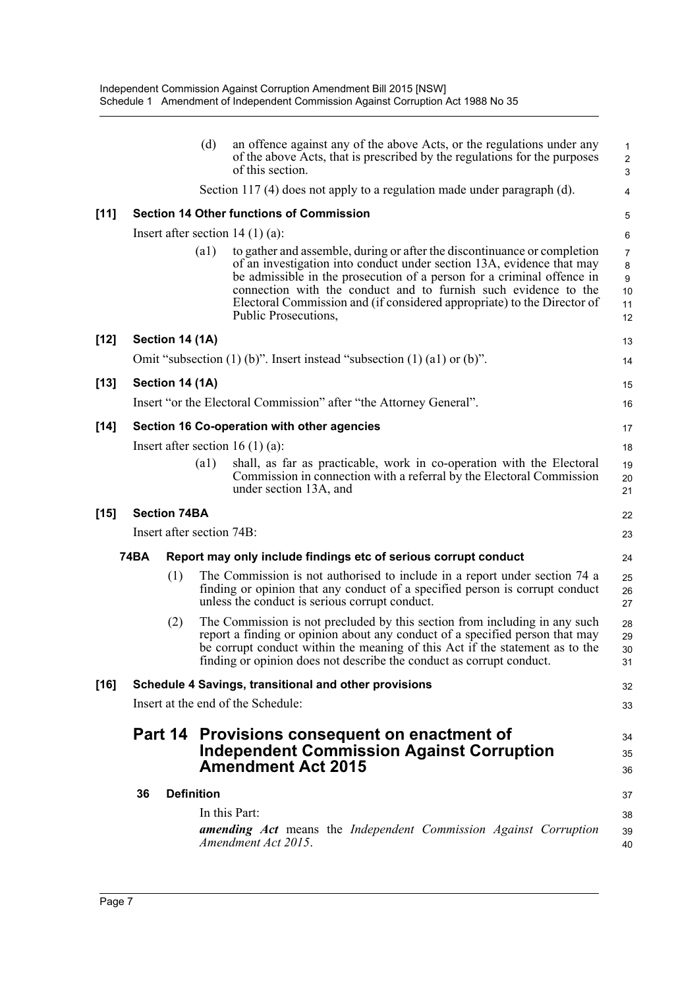|        |                                                 |                   | (d)                | an offence against any of the above Acts, or the regulations under any<br>of the above Acts, that is prescribed by the regulations for the purposes<br>of this section.                                                                                                                                                                                                                           | $\mathbf{1}$<br>$\overline{c}$<br>3        |
|--------|-------------------------------------------------|-------------------|--------------------|---------------------------------------------------------------------------------------------------------------------------------------------------------------------------------------------------------------------------------------------------------------------------------------------------------------------------------------------------------------------------------------------------|--------------------------------------------|
|        |                                                 |                   |                    | Section 117 (4) does not apply to a regulation made under paragraph (d).                                                                                                                                                                                                                                                                                                                          | 4                                          |
| $[11]$ | <b>Section 14 Other functions of Commission</b> |                   |                    |                                                                                                                                                                                                                                                                                                                                                                                                   | 5                                          |
|        |                                                 |                   |                    | Insert after section $14(1)(a)$ :                                                                                                                                                                                                                                                                                                                                                                 | 6                                          |
|        |                                                 |                   | $\left( a1\right)$ | to gather and assemble, during or after the discontinuance or completion<br>of an investigation into conduct under section 13A, evidence that may<br>be admissible in the prosecution of a person for a criminal offence in<br>connection with the conduct and to furnish such evidence to the<br>Electoral Commission and (if considered appropriate) to the Director of<br>Public Prosecutions, | $\overline{7}$<br>8<br>9<br>10<br>11<br>12 |
| $[12]$ | Section 14 (1A)                                 |                   |                    |                                                                                                                                                                                                                                                                                                                                                                                                   | 13                                         |
|        |                                                 |                   |                    | Omit "subsection $(1)$ (b)". Insert instead "subsection $(1)$ $(1)$ or $(b)$ ".                                                                                                                                                                                                                                                                                                                   | 14                                         |
| $[13]$ | Section 14 (1A)                                 |                   |                    |                                                                                                                                                                                                                                                                                                                                                                                                   | 15                                         |
|        |                                                 |                   |                    | Insert "or the Electoral Commission" after "the Attorney General".                                                                                                                                                                                                                                                                                                                                | 16                                         |
| $[14]$ | Section 16 Co-operation with other agencies     |                   |                    |                                                                                                                                                                                                                                                                                                                                                                                                   |                                            |
|        |                                                 |                   |                    | Insert after section 16 $(1)$ (a):                                                                                                                                                                                                                                                                                                                                                                | 18                                         |
|        |                                                 |                   | (a1)               | shall, as far as practicable, work in co-operation with the Electoral<br>Commission in connection with a referral by the Electoral Commission<br>under section 13A, and                                                                                                                                                                                                                           | 19<br>20<br>21                             |
| $[15]$ | <b>Section 74BA</b>                             |                   |                    |                                                                                                                                                                                                                                                                                                                                                                                                   |                                            |
|        | Insert after section 74B:                       |                   |                    |                                                                                                                                                                                                                                                                                                                                                                                                   | 23                                         |
|        | <b>74BA</b>                                     |                   |                    | Report may only include findings etc of serious corrupt conduct                                                                                                                                                                                                                                                                                                                                   | 24                                         |
|        |                                                 | (1)               |                    | The Commission is not authorised to include in a report under section 74 a<br>finding or opinion that any conduct of a specified person is corrupt conduct<br>unless the conduct is serious corrupt conduct.                                                                                                                                                                                      | 25<br>26<br>27                             |
|        |                                                 | (2)               |                    | The Commission is not precluded by this section from including in any such<br>report a finding or opinion about any conduct of a specified person that may<br>be corrupt conduct within the meaning of this Act if the statement as to the<br>finding or opinion does not describe the conduct as corrupt conduct.                                                                                | 28<br>29<br>30<br>31                       |
| $[16]$ |                                                 |                   |                    | Schedule 4 Savings, transitional and other provisions                                                                                                                                                                                                                                                                                                                                             | 32                                         |
|        | Insert at the end of the Schedule:              |                   |                    |                                                                                                                                                                                                                                                                                                                                                                                                   |                                            |
|        |                                                 |                   |                    | Part 14 Provisions consequent on enactment of<br><b>Independent Commission Against Corruption</b><br><b>Amendment Act 2015</b>                                                                                                                                                                                                                                                                    | 34<br>35<br>36                             |
|        | 36                                              | <b>Definition</b> |                    |                                                                                                                                                                                                                                                                                                                                                                                                   | 37                                         |
|        |                                                 |                   |                    | In this Part:                                                                                                                                                                                                                                                                                                                                                                                     | 38                                         |
|        |                                                 |                   |                    | amending Act means the Independent Commission Against Corruption<br>Amendment Act 2015.                                                                                                                                                                                                                                                                                                           | 39<br>40                                   |